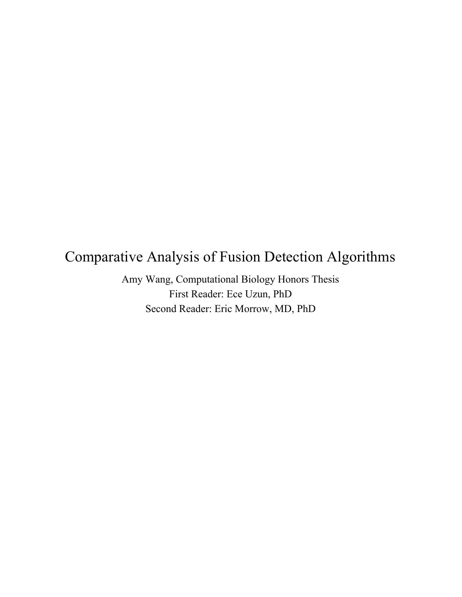# Comparative Analysis of Fusion Detection Algorithms

Amy Wang, Computational Biology Honors Thesis First Reader: Ece Uzun, PhD Second Reader: Eric Morrow, MD, PhD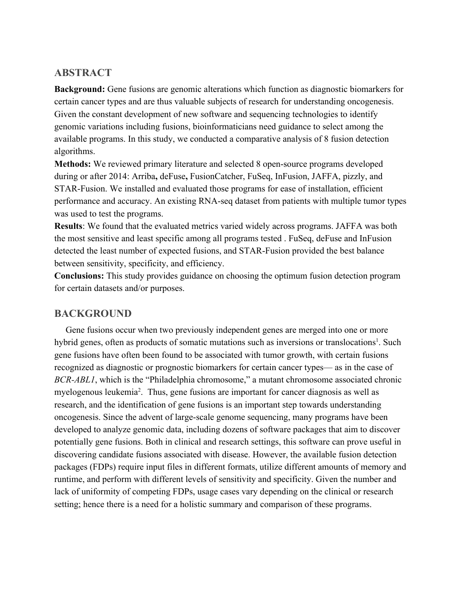## **ABSTRACT**

**Background:** Gene fusions are genomic alterations which function as diagnostic biomarkers for certain cancer types and are thus valuable subjects of research for understanding oncogenesis. Given the constant development of new software and sequencing technologies to identify genomic variations including fusions, bioinformaticians need guidance to select among the available programs. In this study, we conducted a comparative analysis of 8 fusion detection algorithms.

**Methods:** We reviewed primary literature and selected 8 open-source programs developed during or after 2014: Arriba**,** deFuse**,** FusionCatcher, FuSeq, InFusion, JAFFA, pizzly, and STAR-Fusion. We installed and evaluated those programs for ease of installation, efficient performance and accuracy. An existing RNA-seq dataset from patients with multiple tumor types was used to test the programs.

**Results**: We found that the evaluated metrics varied widely across programs. JAFFA was both the most sensitive and least specific among all programs tested . FuSeq, deFuse and InFusion detected the least number of expected fusions, and STAR-Fusion provided the best balance between sensitivity, specificity, and efficiency.

**Conclusions:** This study provides guidance on choosing the optimum fusion detection program for certain datasets and/or purposes.

## **BACKGROUND**

 Gene fusions occur when two previously independent genes are merged into one or more hybrid genes, often as products of somatic mutations such as inversions or translocations<sup>1</sup>. Such gene fusions have often been found to be associated with tumor growth, with certain fusions recognized as diagnostic or prognostic biomarkers for certain cancer types— as in the case of *BCR-ABL1*, which is the "Philadelphia chromosome," a mutant chromosome associated chronic myelogenous leukemia<sup>2</sup>. Thus, gene fusions are important for cancer diagnosis as well as research, and the identification of gene fusions is an important step towards understanding oncogenesis. Since the advent of large-scale genome sequencing, many programs have been developed to analyze genomic data, including dozens of software packages that aim to discover potentially gene fusions. Both in clinical and research settings, this software can prove useful in discovering candidate fusions associated with disease. However, the available fusion detection packages (FDPs) require input files in different formats, utilize different amounts of memory and runtime, and perform with different levels of sensitivity and specificity. Given the number and lack of uniformity of competing FDPs, usage cases vary depending on the clinical or research setting; hence there is a need for a holistic summary and comparison of these programs.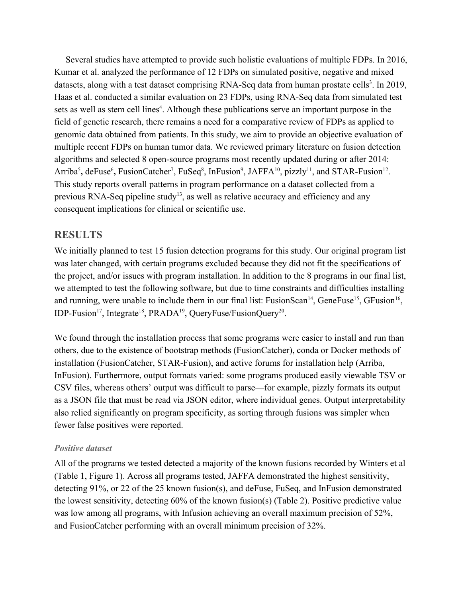Several studies have attempted to provide such holistic evaluations of multiple FDPs. In 2016, Kumar et al. analyzed the performance of 12 FDPs on simulated positive, negative and mixed datasets, along with a test dataset comprising RNA-Seq data from human prostate cells<sup>3</sup>. In 2019, Haas et al. conducted a similar evaluation on 23 FDPs, using RNA-Seq data from simulated test sets as well as stem cell lines<sup>4</sup>. Although these publications serve an important purpose in the field of genetic research, there remains a need for a comparative review of FDPs as applied to genomic data obtained from patients. In this study, we aim to provide an objective evaluation of multiple recent FDPs on human tumor data. We reviewed primary literature on fusion detection algorithms and selected 8 open-source programs most recently updated during or after 2014: Arriba<sup>5</sup>, deFuse<sup>6</sup>, FusionCatcher<sup>7</sup>, FuSeq<sup>8</sup>, InFusion<sup>9</sup>, JAFFA<sup>10</sup>, pizzly<sup>11</sup>, and STAR-Fusion<sup>12</sup>. This study reports overall patterns in program performance on a dataset collected from a previous RNA-Seq pipeline study<sup>13</sup>, as well as relative accuracy and efficiency and any consequent implications for clinical or scientific use.

## **RESULTS**

We initially planned to test 15 fusion detection programs for this study. Our original program list was later changed, with certain programs excluded because they did not fit the specifications of the project, and/or issues with program installation. In addition to the 8 programs in our final list, we attempted to test the following software, but due to time constraints and difficulties installing and running, were unable to include them in our final list: FusionScan<sup>14</sup>, GeneFuse<sup>15</sup>, GFusion<sup>16</sup>, IDP-Fusion<sup>17</sup>, Integrate<sup>18</sup>, PRADA<sup>19</sup>, QueryFuse/FusionQuery<sup>20</sup>.

We found through the installation process that some programs were easier to install and run than others, due to the existence of bootstrap methods (FusionCatcher), conda or Docker methods of installation (FusionCatcher, STAR-Fusion), and active forums for installation help (Arriba, InFusion). Furthermore, output formats varied: some programs produced easily viewable TSV or CSV files, whereas others' output was difficult to parse—for example, pizzly formats its output as a JSON file that must be read via JSON editor, where individual genes. Output interpretability also relied significantly on program specificity, as sorting through fusions was simpler when fewer false positives were reported.

## *Positive dataset*

All of the programs we tested detected a majority of the known fusions recorded by Winters et al (Table 1, Figure 1). Across all programs tested, JAFFA demonstrated the highest sensitivity, detecting 91%, or 22 of the 25 known fusion(s), and deFuse, FuSeq, and InFusion demonstrated the lowest sensitivity, detecting 60% of the known fusion(s) (Table 2). Positive predictive value was low among all programs, with Infusion achieving an overall maximum precision of 52%, and FusionCatcher performing with an overall minimum precision of 32%.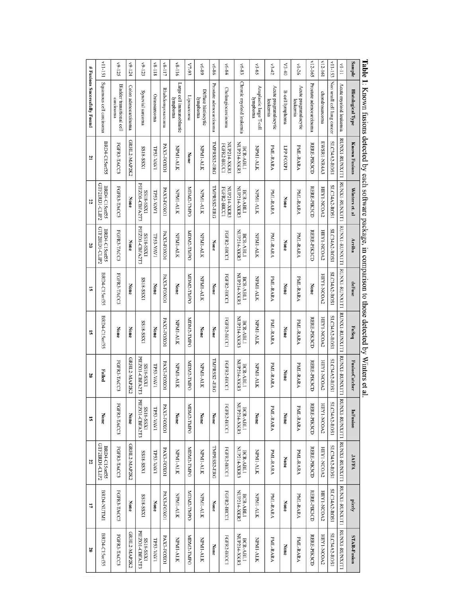|                              | v11-151                         | v9-125                                        | v9-124               | v9-123                      | V8-118       | V8-117           | v8-116                               | V7-93       | $68-9A$                         | v6-86                   | v6-84                      | v6-83                    | $v3-65$                             | $^{13.42}$                        | $V3-40$                | $1 - 26$                          | $112 - 165$             | v12-161        | v11-153                    | $V[-1]$                                      | Sample                   |                                                                                                                    |
|------------------------------|---------------------------------|-----------------------------------------------|----------------------|-----------------------------|--------------|------------------|--------------------------------------|-------------|---------------------------------|-------------------------|----------------------------|--------------------------|-------------------------------------|-----------------------------------|------------------------|-----------------------------------|-------------------------|----------------|----------------------------|----------------------------------------------|--------------------------|--------------------------------------------------------------------------------------------------------------------|
| # Fusions Successfully Found | Squamous cell earcinoma         | <b>Bladder transitional cell</b><br>carcinoma | Colon adenocarcinoma | Synovial sarcoma            | Osteosarcoma | Rhabdomyosarcoma | Large cell immunoblastic<br>lymphoma | Liposarcoma | Diffuse histiocytic<br>lymphoma | Prostate adenocarcinoma | Cholangiocarcinoma         | Chronic myeloid leukemia | Anaplastic large T-cell<br>lymphoma | Acute programulocytic<br>leukemia | <b>B-cell</b> lymphoma | Acute programulocytic<br>leukemia | Prostate adenocarcinoma | chondrosarcoma | Non small cell lung cancer | Acute myeloid leukemia                       | <b>Histological Type</b> | <b>Lable 1:</b> Known rusions detected by each sortware package, in comparison to those detected by Winters et al. |
| 21                           | BRD4-C15orf55                   | FGFR3-TACC3                                   | GRHL2-MAP2K2         | IXSS-81SS                   | TP53-VAV1    | PAX3-FOXO1       | NPM1-ALK                             | None        | NPMI-ALK                        | TMPRSS2-ERG             | NUP214-XKR3<br>FGFR2-BICC1 | NUP214-XKR3<br>BCR-ABL1  | NPMI-ALK                            | PML-RARA                          | LPP-FOXP1              | PML-RARA                          | RERE-PIK3CD             | EWSR1-NR4A3    | SLC34A2-ROS1               | RUNXI-RUNXITI                                | <b>Known Fusions</b>     |                                                                                                                    |
| 22                           | GTF2IRD1-CLIP2<br>BRD4-C15orf55 | FGFR3-TACC3                                   | None                 | PIEZO1-CBFA2T3<br>IXSS-81SS | TP53-VAV1    | PAX3-FOXO1       | NPM1-ALK                             | MDM2-TMPO   | NPM1-ALK                        | TMPRSS2-ERG             | NUP214-XKR3<br>FGFR2-BICC1 | NUP214-XKR3<br>BCR-ABL1  | NPMI-ALK                            | PML-RARA                          | None                   | PML-RARA                          | RERE-PIK3CD             | HEY1-NCOA2     | SLC34A2-ROS1               | RUNXI-RUNXITI                                | Winters et. al           |                                                                                                                    |
| $\overline{0}$               | GTF2IRD1-CLIP2<br>BRD4-C15orf55 | FGFR3-TACC3                                   | None                 | PIEZO1-CBFA2T3<br>IXSS-81SS | TP53-VAV1    | PAX3-FOXO1       | NPM1-ALK                             | MDM2-TMPO   | NPM1-ALK                        | None                    | FGFR2-BICC1                | NUP214-XKR3<br>BCR-ABL1  | NPM1-ALK                            | PML-RARA                          | None                   | PML-RARA                          | RERE-PIK3CD             | HEY1-NCOA2     | SLC34A2-ROS1               | RUNXI-RUNX171                                | Arriba                   |                                                                                                                    |
| 5                            | BRD4-C15orf55                   | FGFR3-TACC3                                   | None                 | IXSS-818S                   | None         | PAX3-FOXO1       | None                                 | MDM2-TMPO   | NPM1-ALK                        | None                    | FGFR2-BICC                 | NUP214-XKR3<br>BCR-ABL1  | NPM1-ALK                            | PML-RARA                          | None                   | PML-RARA                          | None                    | HEY1-NCOA2     | SLC34A2-ROS1               | RUNXI-RUNXITI                                | deFuse                   |                                                                                                                    |
| 5                            | BRD4-C15orf55                   | None                                          | None                 | <b>SS18-SSX1</b>            | None         | PAX3-FOXO1       | NPM1-ALK                             | MDM2-TMPO   | None                            | None                    | FGFR2-BICC1                | NUP214-XKR3<br>BCR-ABL1  | NPM1-ALK                            | PML-RARA                          | None                   | PML-RARA                          | RERE-PIK3CD             | HEY1-NCOA2     | SLC34A2-ROS1               | ITIXMUS-IXMUS                                | FuSeq                    |                                                                                                                    |
| 20                           | Failed                          | FGFR3-TACC3                                   | GRHL2-MAP2K2         | PIEZO1-CBFA2T3<br>IXSS-81SS | TP53-VAV1    | PAX3-FOXO1       | NPM1-ALK                             | MDM2-TMPO   | NPM1-ALK                        | TMPRSS2-ERG             | FGFR2-BICC1                | NUP214-XKR3<br>BCR-ABLI  | NPM1-ALK                            | PML-RARA                          | None                   | PML-RARA                          | RERE-PIK3CD             | HEY1-NCOA2     | SLC34A2-ROS1               | <b>RUNNI-RUNNITI</b>                         | <b>FusionCatcher</b>     |                                                                                                                    |
| 5                            | None                            | FGFR3-TACC3                                   | None                 | PIEZO1-CBFA2T3<br>IXSS-818S | TP53-VAV1    | PAX3-FOXO1       | None                                 | MDM2-TMPO   | None                            | None                    | FGFR2-BICC1                | NUP214-XKR3<br>BCR-ABL1  | None                                | PML-RARA                          | None                   | PML-RARA                          | RERE-PIK3CD             | HEY1-NCOA2     | SLC34A2-ROS1               |                                              | InFusion                 |                                                                                                                    |
| 22                           | GTF2IRD1-CLIP2<br>BRD4-C15orf55 | FGFR3-TACC3                                   | GRHL2-MAP2K2         | IXSS-81SS                   | TP53-VAV1    | PAX3-FOXO1       | NPM1-ALK                             | MDM2-TMPO   | NPM1-ALK                        | TMPRSS2-ERG             | FGFR2-BICC1                | NUP214-XKR3<br>BCR-ABL1  | NPM1-ALK                            | PML-RARA                          | None                   | PML-RARA                          | RERE-PIK3CD             | HEY1-NCOA2     | SLC34A2-ROS1               | RUNXI-RUNXIITI RUNXI-RUNXIITI RUNXI-RUNXIITI | JAFRA                    |                                                                                                                    |
| 17                           | BRD4-NUTM1                      | FGFR3-TACC3                                   | None                 | IXSS-81SS                   | None         | PAX3-FOXO1       | NPM1-ALK                             | MDM2-TMPO   | NPM1-ALK                        | None                    | FGFR2-BICC1                | NUP214-XKR3<br>BCR-ABL1  | NPM1-ALK                            | PML-RARA                          | None                   | PML-RARA                          | RERE-PIK3CD             | HEY1-NCOA2     | SLC34A2-ROS1               |                                              | pizzly                   |                                                                                                                    |
| 20                           | BRD4-C15orf55                   | FGFR3-TACC3                                   | GRHL2-MAP2K2         | PIEZO1-CBFA2T3<br>IXSS-81SS | TP53-VAV1    | PAX3-FOXO1       | NPM1-ALK                             | MDM2-TMPO   | NPM1-ALK                        | None                    | FGFR2-BICC1                | NUP214-XKR3<br>BCR-ABL1  | NPM1-ALK                            | PML-RARA                          | None                   | PML-RARA                          | RERE-PIK3CD             | HEY1-NCOA2     | SLC34A2-ROS1               | RUNXI-RUNXITI                                | STAR-Fusion              |                                                                                                                    |

 $T_{\rm shla}$  1 4  $\frac{1}{\tau}$ Ł  $\frac{1}{\sqrt{2}}$  $\overline{M}$  $\frac{1}{2}$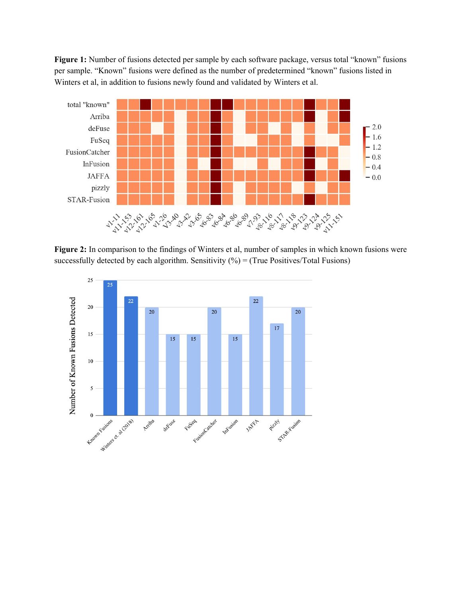**Figure 1:** Number of fusions detected per sample by each software package, versus total "known" fusions per sample. "Known" fusions were defined as the number of predetermined "known" fusions listed in Winters et al, in addition to fusions newly found and validated by Winters et al.



**Figure 2:** In comparison to the findings of Winters et al, number of samples in which known fusions were successfully detected by each algorithm. Sensitivity  $(\% )$  = (True Positives/Total Fusions)

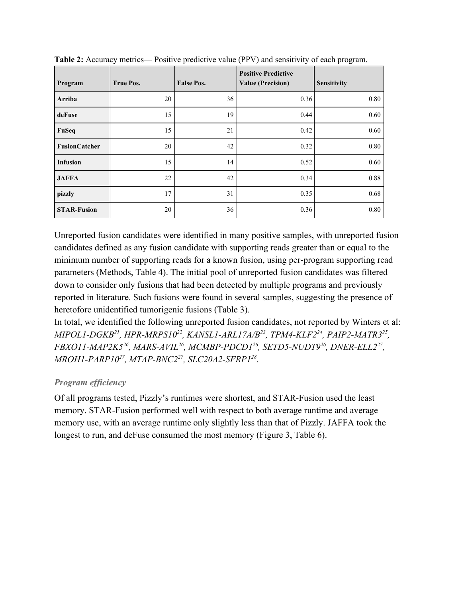| Program              | <b>True Pos.</b> | <b>False Pos.</b> | <b>Positive Predictive</b><br><b>Value (Precision)</b> | <b>Sensitivity</b> |
|----------------------|------------------|-------------------|--------------------------------------------------------|--------------------|
| Arriba               | 20               | 36                | 0.36                                                   | 0.80               |
| deFuse               | 15               | 19                | 0.44                                                   | 0.60               |
| FuSeq                | 15               | 21                | 0.42                                                   | 0.60               |
| <b>FusionCatcher</b> | 20               | 42                | 0.32                                                   | 0.80               |
| <b>Infusion</b>      | 15               | 14                | 0.52                                                   | 0.60               |
| <b>JAFFA</b>         | 22               | 42                | 0.34                                                   | 0.88               |
| pizzly               | 17               | 31                | 0.35                                                   | 0.68               |
| <b>STAR-Fusion</b>   | 20               | 36                | 0.36                                                   | 0.80               |

**Table 2:** Accuracy metrics— Positive predictive value (PPV) and sensitivity of each program.

Unreported fusion candidates were identified in many positive samples, with unreported fusion candidates defined as any fusion candidate with supporting reads greater than or equal to the minimum number of supporting reads for a known fusion, using per-program supporting read parameters (Methods, Table 4). The initial pool of unreported fusion candidates was filtered down to consider only fusions that had been detected by multiple programs and previously reported in literature. Such fusions were found in several samples, suggesting the presence of heretofore unidentified tumorigenic fusions (Table 3).

In total, we identified the following unreported fusion candidates, not reported by Winters et al: *MIPOL1-DGKB<sup>21</sup> , HPR-MRPS10<sup>22</sup> , KANSL1-ARL17A/B<sup>23</sup> , TPM4-KLF2<sup>24</sup> , PAIP2-MATR3<sup>25</sup> , FBXO11-MAP2K5<sup>26</sup> , MARS-AVIL<sup>26</sup> , MCMBP-PDCD1<sup>26</sup> , SETD5-NUDT9<sup>26</sup> , DNER-ELL2<sup>27</sup> , MROH1-PARP10<sup>27</sup> , MTAP-BNC2<sup>27</sup> , SLC20A2-SFRP1<sup>28</sup>* .

## *Program efficiency*

Of all programs tested, Pizzly's runtimes were shortest, and STAR-Fusion used the least memory. STAR-Fusion performed well with respect to both average runtime and average memory use, with an average runtime only slightly less than that of Pizzly. JAFFA took the longest to run, and deFuse consumed the most memory (Figure 3, Table 6).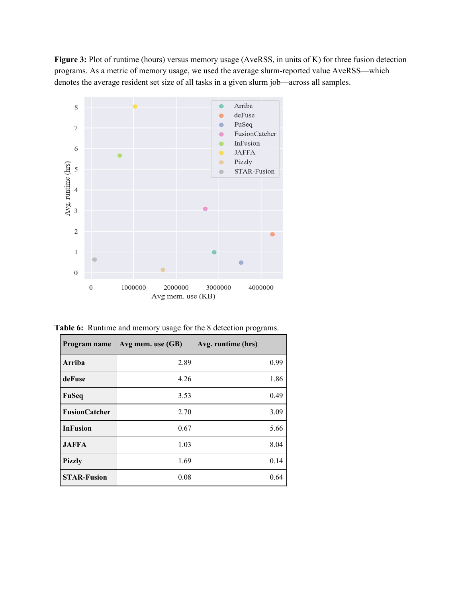**Figure 3:** Plot of runtime (hours) versus memory usage (AveRSS, in units of K) for three fusion detection programs. As a metric of memory usage, we used the average slurm-reported value AveRSS—which denotes the average resident set size of all tasks in a given slurm job—across all samples.



**Table 6:** Runtime and memory usage for the 8 detection programs.

| Program name         | Avg mem. use (GB) | Avg. runtime (hrs) |
|----------------------|-------------------|--------------------|
| Arriba               | 2.89              | 0.99               |
| deFuse               | 4.26              | 1.86               |
| FuSeq                | 3.53              | 0.49               |
| <b>FusionCatcher</b> | 2.70              | 3.09               |
| <b>InFusion</b>      | 0.67              | 5.66               |
| <b>JAFFA</b>         | 1.03              | 8.04               |
| <b>Pizzly</b>        | 1.69              | 0.14               |
| <b>STAR-Fusion</b>   | 0.08              | 0.64               |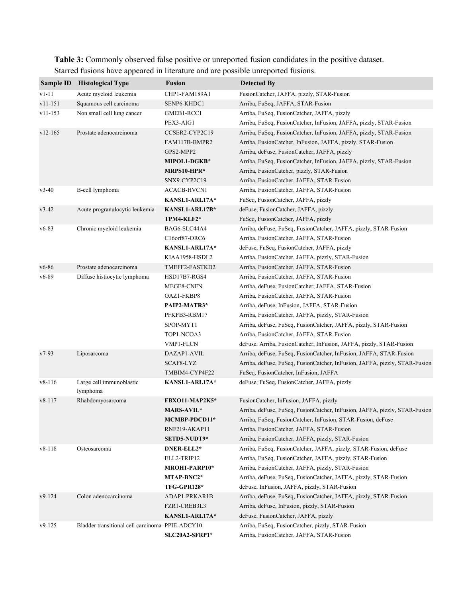**Table 3:** Commonly observed false positive or unreported fusion candidates in the positive dataset. Starred fusions have appeared in literature and are possible unreported fusions.

| <b>Fusion</b><br>Sample ID<br><b>Histological Type</b><br><b>Detected By</b>                                                   |  |
|--------------------------------------------------------------------------------------------------------------------------------|--|
| $v1-11$<br>Acute myeloid leukemia<br>FusionCatcher, JAFFA, pizzly, STAR-Fusion<br>CHP1-FAM189A1                                |  |
| $v11 - 151$<br>Squamous cell carcinoma<br>Arriba, FuSeq, JAFFA, STAR-Fusion<br>SENP6-KHDC1                                     |  |
| $v11 - 153$<br>Non small cell lung cancer<br>GMEB1-RCC1<br>Arriba, FuSeq, FusionCatcher, JAFFA, pizzly                         |  |
| PEX3-AIG1<br>Arriba, FuSeq, FusionCatcher, InFusion, JAFFA, pizzly, STAR-Fusion                                                |  |
| $v12 - 165$<br>Prostate adenocarcinoma<br>CCSER2-CYP2C19<br>Arriba, FuSeq, FusionCatcher, InFusion, JAFFA, pizzly, STAR-Fusion |  |
| FAM117B-BMPR2<br>Arriba, FusionCatcher, InFusion, JAFFA, pizzly, STAR-Fusion                                                   |  |
| Arriba, deFuse, FusionCatcher, JAFFA, pizzly<br>GPS2-MPP2                                                                      |  |
| MIPOL1-DGKB*<br>Arriba, FuSeq, FusionCatcher, InFusion, JAFFA, pizzly, STAR-Fusion                                             |  |
| MRPS10-HPR*<br>Arriba, FusionCatcher, pizzly, STAR-Fusion                                                                      |  |
| SNX9-CYP2C19<br>Arriba, FusionCatcher, JAFFA, STAR-Fusion                                                                      |  |
| B-cell lymphoma<br>$v3-40$<br>ACACB-HVCN1<br>Arriba, FusionCatcher, JAFFA, STAR-Fusion                                         |  |
| KANSL1-ARL17A*<br>FuSeq, FusionCatcher, JAFFA, pizzly                                                                          |  |
| $v3-42$<br>Acute progranulocytic leukemia<br>KANSL1-ARL17B*<br>deFuse, FusionCatcher, JAFFA, pizzly                            |  |
| TPM4-KLF2*<br>FuSeq, FusionCatcher, JAFFA, pizzly                                                                              |  |
| $v6-83$<br>Chronic myeloid leukemia<br>BAG6-SLC44A4<br>Arriba, deFuse, FuSeq, FusionCatcher, JAFFA, pizzly, STAR-Fusion        |  |
| C16orf87-ORC6<br>Arriba, FusionCatcher, JAFFA, STAR-Fusion                                                                     |  |
| deFuse, FuSeq, FusionCatcher, JAFFA, pizzly<br>KANSL1-ARL17A*                                                                  |  |
| KIAA1958-HSDL2<br>Arriba, FusionCatcher, JAFFA, pizzly, STAR-Fusion                                                            |  |
| Prostate adenocarcinoma<br>$v6 - 86$<br>TMEFF2-FASTKD2<br>Arriba, FusionCatcher, JAFFA, STAR-Fusion                            |  |
| $v6 - 89$<br>Diffuse histiocytic lymphoma<br>HSD17B7-RGS4<br>Arriba, FusionCatcher, JAFFA, STAR-Fusion                         |  |
| MEGF8-CNFN<br>Arriba, deFuse, FusionCatcher, JAFFA, STAR-Fusion                                                                |  |
| OAZ1-FKBP8<br>Arriba, FusionCatcher, JAFFA, STAR-Fusion                                                                        |  |
| PAIP2-MATR3*<br>Arriba, deFuse, InFusion, JAFFA, STAR-Fusion                                                                   |  |
| PFKFB3-RBM17<br>Arriba, FusionCatcher, JAFFA, pizzly, STAR-Fusion                                                              |  |
| SPOP-MYT1<br>Arriba, deFuse, FuSeq, FusionCatcher, JAFFA, pizzly, STAR-Fusion                                                  |  |
| TOP1-NCOA3<br>Arriba, FusionCatcher, JAFFA, STAR-Fusion                                                                        |  |
| VMP1-FLCN<br>deFuse, Arriba, FusionCatcher, InFusion, JAFFA, pizzly, STAR-Fusion                                               |  |
| $v7-93$<br>Liposarcoma<br>DAZAP1-AVIL<br>Arriba, deFuse, FuSeq, FusionCatcher, InFusion, JAFFA, STAR-Fusion                    |  |
| SCAF8-LYZ<br>Arriba, deFuse, FuSeq, FusionCatcher, InFusion, JAFFA, pizzly, STAR-Fusion                                        |  |
| TMBIM4-CYP4F22<br>FuSeq, FusionCatcher, InFusion, JAFFA                                                                        |  |
| $v8 - 116$<br>Large cell immunoblastic<br>deFuse, FuSeq, FusionCatcher, JAFFA, pizzly<br>KANSL1-ARL17A*                        |  |
| lymphoma                                                                                                                       |  |
| $v8 - 117$<br>Rhabdomyosarcoma<br><b>FBXO11-MAP2K5*</b><br>FusionCatcher, InFusion, JAFFA, pizzly                              |  |
| MARS-AVIL*<br>Arriba, deFuse, FuSeq, FusionCatcher, InFusion, JAFFA, pizzly, STAR-Fusion                                       |  |
| MCMBP-PDCD11*<br>Arriba, FuSeq, FusionCatcher, InFusion, STAR-Fusion, deFuse                                                   |  |
| RNF219-AKAP11<br>Arriba, FusionCatcher, JAFFA, STAR-Fusion                                                                     |  |
| SETD5-NUDT9*<br>Arriba, FusionCatcher, JAFFA, pizzly, STAR-Fusion                                                              |  |
| $v8 - 118$<br>Arriba, FuSeq, FusionCatcher, JAFFA, pizzly, STAR-Fusion, deFuse<br>Osteosarcoma<br>DNER-ELL2*                   |  |
| ELL2-TRIP12<br>Arriba, FuSeq, FusionCatcher, JAFFA, pizzly, STAR-Fusion                                                        |  |
| Arriba, FusionCatcher, JAFFA, pizzly, STAR-Fusion<br>MROH1-PARP10*                                                             |  |
| Arriba, deFuse, FuSeq, FusionCatcher, JAFFA, pizzly, STAR-Fusion<br>MTAP-BNC2*                                                 |  |
| TFG-GPR128*<br>deFuse, InFusion, JAFFA, pizzly, STAR-Fusion                                                                    |  |
| $v9-124$<br>Colon adenocarcinoma<br>ADAP1-PRKAR1B<br>Arriba, deFuse, FuSeq, FusionCatcher, JAFFA, pizzly, STAR-Fusion          |  |
| FZR1-CREB3L3<br>Arriba, deFuse, InFusion, pizzly, STAR-Fusion                                                                  |  |
| KANSL1-ARL17A*<br>deFuse, FusionCatcher, JAFFA, pizzly                                                                         |  |
| $v9-125$<br>Bladder transitional cell carcinoma PPIE-ADCY10<br>Arriba, FuSeq, FusionCatcher, pizzly, STAR-Fusion               |  |
| Arriba, FusionCatcher, JAFFA, STAR-Fusion<br>SLC20A2-SFRP1*                                                                    |  |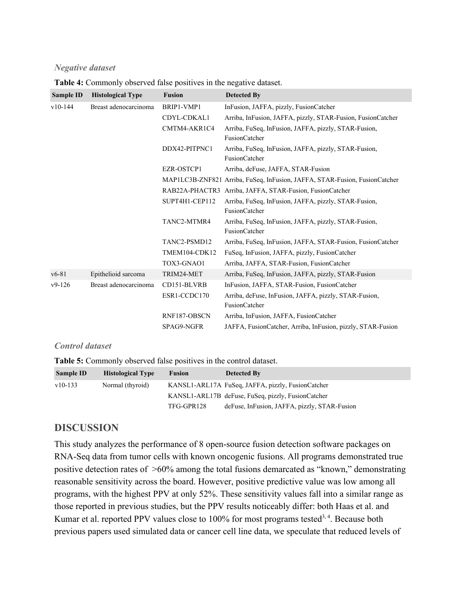#### *Negative dataset*

| Sample ID | <b>Histological Type</b> | <b>Fusion</b>  | <b>Detected By</b>                                                            |
|-----------|--------------------------|----------------|-------------------------------------------------------------------------------|
| $v10-144$ | Breast adenocarcinoma    | BRIP1-VMP1     | InFusion, JAFFA, pizzly, FusionCatcher                                        |
|           |                          | CDYL-CDKAL1    | Arriba, InFusion, JAFFA, pizzly, STAR-Fusion, FusionCatcher                   |
|           |                          | CMTM4-AKR1C4   | Arriba, FuSeq, InFusion, JAFFA, pizzly, STAR-Fusion,<br><b>FusionCatcher</b>  |
|           |                          | DDX42-PITPNC1  | Arriba, FuSeq, InFusion, JAFFA, pizzly, STAR-Fusion,<br><b>FusionCatcher</b>  |
|           |                          | EZR-OSTCP1     | Arriba, deFuse, JAFFA, STAR-Fusion                                            |
|           |                          |                | MAP1LC3B-ZNF821 Arriba, FuSeq, InFusion, JAFFA, STAR-Fusion, FusionCatcher    |
|           |                          |                | RAB22A-PHACTR3 Arriba, JAFFA, STAR-Fusion, FusionCatcher                      |
|           |                          | SUPT4H1-CEP112 | Arriba, FuSeq, InFusion, JAFFA, pizzly, STAR-Fusion,<br><b>FusionCatcher</b>  |
|           |                          | TANC2-MTMR4    | Arriba, FuSeq, InFusion, JAFFA, pizzly, STAR-Fusion,<br>FusionCatcher         |
|           |                          | TANC2-PSMD12   | Arriba, FuSeq, InFusion, JAFFA, STAR-Fusion, FusionCatcher                    |
|           |                          | TMEM104-CDK12  | FuSeq, InFusion, JAFFA, pizzly, FusionCatcher                                 |
|           |                          | TOX3-GNAO1     | Arriba, JAFFA, STAR-Fusion, FusionCatcher                                     |
| $v6 - 81$ | Epithelioid sarcoma      | TRIM24-MET     | Arriba, FuSeq, InFusion, JAFFA, pizzly, STAR-Fusion                           |
| $v9-126$  | Breast adenocarcinoma    | CD151-BLVRB    | InFusion, JAFFA, STAR-Fusion, FusionCatcher                                   |
|           |                          | ESR1-CCDC170   | Arriba, deFuse, InFusion, JAFFA, pizzly, STAR-Fusion,<br><b>FusionCatcher</b> |
|           |                          | RNF187-OBSCN   | Arriba, InFusion, JAFFA, FusionCatcher                                        |
|           |                          | SPAG9-NGFR     | JAFFA, FusionCatcher, Arriba, InFusion, pizzly, STAR-Fusion                   |

**Table 4:** Commonly observed false positives in the negative dataset.

#### *Control dataset*

**Table 5:** Commonly observed false positives in the control dataset.

| <b>Sample ID</b> | <b>Histological Type</b> | <b>Fusion</b> | <b>Detected By</b>                                 |
|------------------|--------------------------|---------------|----------------------------------------------------|
| $v10-133$        | Normal (thyroid)         |               | KANSL1-ARL17A FuSeq, JAFFA, pizzly, FusionCatcher  |
|                  |                          |               | KANSL1-ARL17B deFuse, FuSeq, pizzly, FusionCatcher |
|                  |                          | TFG-GPR128    | deFuse, InFusion, JAFFA, pizzly, STAR-Fusion       |

## **DISCUSSION**

This study analyzes the performance of 8 open-source fusion detection software packages on RNA-Seq data from tumor cells with known oncogenic fusions. All programs demonstrated true positive detection rates of >60% among the total fusions demarcated as "known," demonstrating reasonable sensitivity across the board. However, positive predictive value was low among all programs, with the highest PPV at only 52%. These sensitivity values fall into a similar range as those reported in previous studies, but the PPV results noticeably differ: both Haas et al. and Kumar et al. reported PPV values close to  $100\%$  for most programs tested<sup>3,4</sup>. Because both previous papers used simulated data or cancer cell line data, we speculate that reduced levels of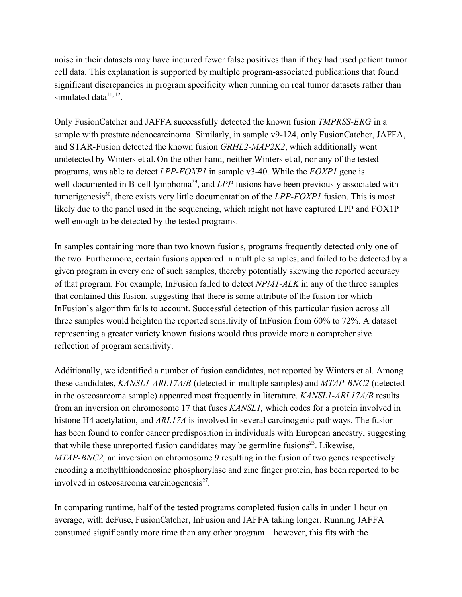noise in their datasets may have incurred fewer false positives than if they had used patient tumor cell data. This explanation is supported by multiple program-associated publications that found significant discrepancies in program specificity when running on real tumor datasets rather than simulated data<sup>11, 12</sup>.

Only FusionCatcher and JAFFA successfully detected the known fusion *TMPRSS-ERG* in a sample with prostate adenocarcinoma. Similarly, in sample v9-124, only FusionCatcher, JAFFA, and STAR-Fusion detected the known fusion *GRHL2-MAP2K2*, which additionally went undetected by Winters et al. On the other hand, neither Winters et al, nor any of the tested programs, was able to detect *LPP-FOXP1* in sample v3-40. While the *FOXP1* gene is well-documented in B-cell lymphoma<sup>29</sup>, and *LPP* fusions have been previously associated with tumorigenesis<sup>30</sup>, there exists very little documentation of the *LPP-FOXP1* fusion. This is most likely due to the panel used in the sequencing, which might not have captured LPP and FOX1P well enough to be detected by the tested programs.

In samples containing more than two known fusions, programs frequently detected only one of the two*.* Furthermore, certain fusions appeared in multiple samples, and failed to be detected by a given program in every one of such samples, thereby potentially skewing the reported accuracy of that program. For example, InFusion failed to detect *NPM1-ALK* in any of the three samples that contained this fusion, suggesting that there is some attribute of the fusion for which InFusion's algorithm fails to account. Successful detection of this particular fusion across all three samples would heighten the reported sensitivity of InFusion from 60% to 72%. A dataset representing a greater variety known fusions would thus provide more a comprehensive reflection of program sensitivity.

Additionally, we identified a number of fusion candidates, not reported by Winters et al. Among these candidates, *KANSL1-ARL17A/B* (detected in multiple samples) and *MTAP-BNC2* (detected in the osteosarcoma sample) appeared most frequently in literature. *KANSL1-ARL17A/B* results from an inversion on chromosome 17 that fuses *KANSL1,* which codes for a protein involved in histone H4 acetylation, and *ARL17A* is involved in several carcinogenic pathways. The fusion has been found to confer cancer predisposition in individuals with European ancestry, suggesting that while these unreported fusion candidates may be germline fusions $2<sup>3</sup>$ . Likewise, *MTAP-BNC2,* an inversion on chromosome 9 resulting in the fusion of two genes respectively encoding a methylthioadenosine phosphorylase and zinc finger protein, has been reported to be involved in osteosarcoma carcinogenesis<sup>27</sup>.

In comparing runtime, half of the tested programs completed fusion calls in under 1 hour on average, with deFuse, FusionCatcher, InFusion and JAFFA taking longer. Running JAFFA consumed significantly more time than any other program—however, this fits with the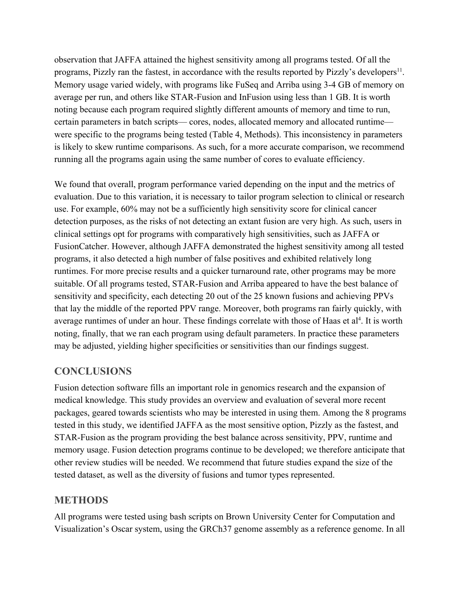observation that JAFFA attained the highest sensitivity among all programs tested. Of all the programs, Pizzly ran the fastest, in accordance with the results reported by Pizzly's developers<sup>11</sup>. Memory usage varied widely, with programs like FuSeq and Arriba using 3-4 GB of memory on average per run, and others like STAR-Fusion and InFusion using less than 1 GB. It is worth noting because each program required slightly different amounts of memory and time to run, certain parameters in batch scripts— cores, nodes, allocated memory and allocated runtime were specific to the programs being tested (Table 4, Methods). This inconsistency in parameters is likely to skew runtime comparisons. As such, for a more accurate comparison, we recommend running all the programs again using the same number of cores to evaluate efficiency.

We found that overall, program performance varied depending on the input and the metrics of evaluation. Due to this variation, it is necessary to tailor program selection to clinical or research use. For example, 60% may not be a sufficiently high sensitivity score for clinical cancer detection purposes, as the risks of not detecting an extant fusion are very high. As such, users in clinical settings opt for programs with comparatively high sensitivities, such as JAFFA or FusionCatcher. However, although JAFFA demonstrated the highest sensitivity among all tested programs, it also detected a high number of false positives and exhibited relatively long runtimes. For more precise results and a quicker turnaround rate, other programs may be more suitable. Of all programs tested, STAR-Fusion and Arriba appeared to have the best balance of sensitivity and specificity, each detecting 20 out of the 25 known fusions and achieving PPVs that lay the middle of the reported PPV range. Moreover, both programs ran fairly quickly, with average runtimes of under an hour. These findings correlate with those of Haas et  $al<sup>4</sup>$ . It is worth noting, finally, that we ran each program using default parameters. In practice these parameters may be adjusted, yielding higher specificities or sensitivities than our findings suggest.

# **CONCLUSIONS**

Fusion detection software fills an important role in genomics research and the expansion of medical knowledge. This study provides an overview and evaluation of several more recent packages, geared towards scientists who may be interested in using them. Among the 8 programs tested in this study, we identified JAFFA as the most sensitive option, Pizzly as the fastest, and STAR-Fusion as the program providing the best balance across sensitivity, PPV, runtime and memory usage. Fusion detection programs continue to be developed; we therefore anticipate that other review studies will be needed. We recommend that future studies expand the size of the tested dataset, as well as the diversity of fusions and tumor types represented.

## **METHODS**

All programs were tested using bash scripts on Brown University Center for Computation and Visualization's Oscar system, using the GRCh37 genome assembly as a reference genome. In all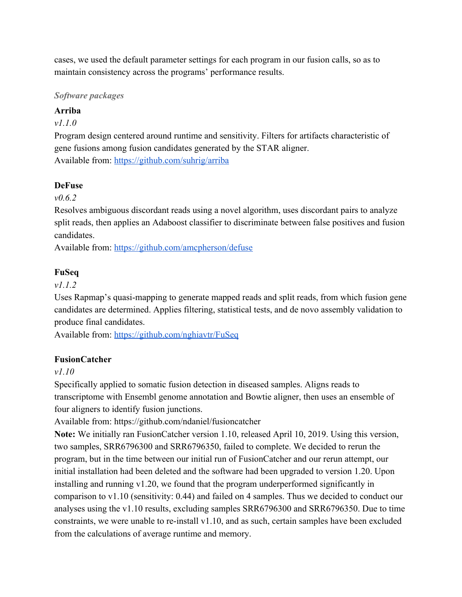cases, we used the default parameter settings for each program in our fusion calls, so as to maintain consistency across the programs' performance results.

#### *Software packages*

## **Arriba**

## *v1.1.0*

Program design centered around runtime and sensitivity. Filters for artifacts characteristic of gene fusions among fusion candidates generated by the STAR aligner. Available from: <https://github.com/suhrig/arriba>

## **DeFuse**

## *v0.6.2*

Resolves ambiguous discordant reads using a novel algorithm, uses discordant pairs to analyze split reads, then applies an Adaboost classifier to discriminate between false positives and fusion candidates.

Available from: <https://github.com/amcpherson/defuse>

## **FuSeq**

## *v1.1.2*

Uses Rapmap's quasi-mapping to generate mapped reads and split reads, from which fusion gene candidates are determined. Applies filtering, statistical tests, and de novo assembly validation to produce final candidates.

Available from: <https://github.com/nghiavtr/FuSeq>

## **FusionCatcher**

## *v1.10*

Specifically applied to somatic fusion detection in diseased samples. Aligns reads to transcriptome with Ensembl genome annotation and Bowtie aligner, then uses an ensemble of four aligners to identify fusion junctions.

Available from: https://github.com/ndaniel/fusioncatcher

**Note:** We initially ran FusionCatcher version 1.10, released April 10, 2019. Using this version, two samples, SRR6796300 and SRR6796350, failed to complete. We decided to rerun the program, but in the time between our initial run of FusionCatcher and our rerun attempt, our initial installation had been deleted and the software had been upgraded to version 1.20. Upon installing and running v1.20, we found that the program underperformed significantly in comparison to v1.10 (sensitivity: 0.44) and failed on 4 samples. Thus we decided to conduct our analyses using the v1.10 results, excluding samples SRR6796300 and SRR6796350. Due to time constraints, we were unable to re-install v1.10, and as such, certain samples have been excluded from the calculations of average runtime and memory.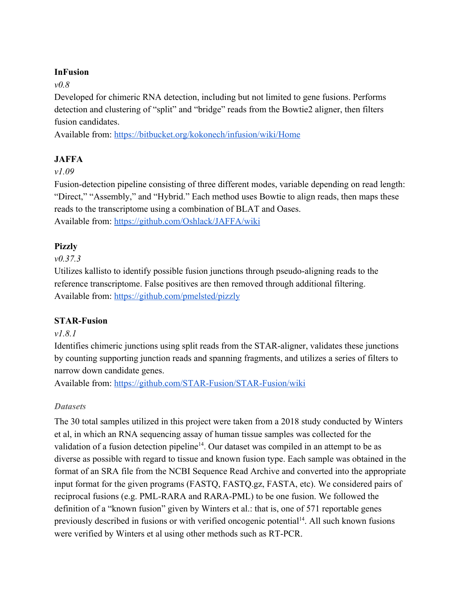## **InFusion**

## *v0.8*

Developed for chimeric RNA detection, including but not limited to gene fusions. Performs detection and clustering of "split" and "bridge" reads from the Bowtie2 aligner, then filters fusion candidates.

Available from: <https://bitbucket.org/kokonech/infusion/wiki/Home>

## **JAFFA**

## *v1.09*

Fusion-detection pipeline consisting of three different modes, variable depending on read length: "Direct," "Assembly," and "Hybrid." Each method uses Bowtie to align reads, then maps these reads to the transcriptome using a combination of BLAT and Oases. Available from: <https://github.com/Oshlack/JAFFA/wiki>

## **Pizzly**

## *v0.37.3*

Utilizes kallisto to identify possible fusion junctions through pseudo-aligning reads to the reference transcriptome. False positives are then removed through additional filtering. Available from: <https://github.com/pmelsted/pizzly>

## **STAR-Fusion**

## *v1.8.1*

Identifies chimeric junctions using split reads from the STAR-aligner, validates these junctions by counting supporting junction reads and spanning fragments, and utilizes a series of filters to narrow down candidate genes.

Available from: <https://github.com/STAR-Fusion/STAR-Fusion/wiki>

## *Datasets*

The 30 total samples utilized in this project were taken from a 2018 study conducted by Winters et al, in which an RNA sequencing assay of human tissue samples was collected for the validation of a fusion detection pipeline<sup>14</sup>. Our dataset was compiled in an attempt to be as diverse as possible with regard to tissue and known fusion type. Each sample was obtained in the format of an SRA file from the NCBI Sequence Read Archive and converted into the appropriate input format for the given programs (FASTQ, FASTQ.gz, FASTA, etc). We considered pairs of reciprocal fusions (e.g. PML-RARA and RARA-PML) to be one fusion. We followed the definition of a "known fusion" given by Winters et al.: that is, one of 571 reportable genes previously described in fusions or with verified oncogenic potential<sup>14</sup>. All such known fusions were verified by Winters et al using other methods such as RT-PCR.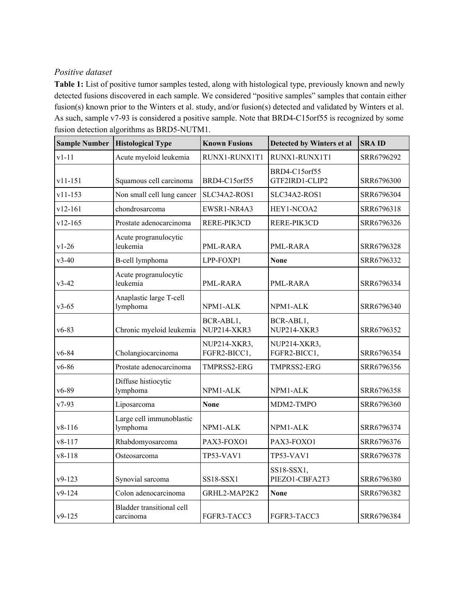## *Positive dataset*

**Table 1:** List of positive tumor samples tested, along with histological type, previously known and newly detected fusions discovered in each sample. We considered "positive samples" samples that contain either fusion(s) known prior to the Winters et al. study, and/or fusion(s) detected and validated by Winters et al. As such, sample v7-93 is considered a positive sample. Note that BRD4-C15orf55 is recognized by some fusion detection algorithms as BRD5-NUTM1.

| <b>Sample Number</b> | <b>Histological Type</b>                      | <b>Known Fusions</b>         | Detected by Winters et al       | <b>SRAID</b> |
|----------------------|-----------------------------------------------|------------------------------|---------------------------------|--------------|
| $v1-11$              | Acute myeloid leukemia                        | RUNX1-RUNX1T1                | RUNX1-RUNX1T1                   | SRR6796292   |
| $v11 - 151$          | Squamous cell carcinoma                       | BRD4-C15orf55                | BRD4-C15orf55<br>GTF2IRD1-CLIP2 | SRR6796300   |
| $v11 - 153$          | Non small cell lung cancer                    | SLC34A2-ROS1                 | SLC34A2-ROS1                    | SRR6796304   |
| v12-161              | chondrosarcoma                                | EWSR1-NR4A3                  | HEY1-NCOA2                      | SRR6796318   |
| $v12 - 165$          | Prostate adenocarcinoma                       | RERE-PIK3CD                  | RERE-PIK3CD                     | SRR6796326   |
| $v1-26$              | Acute progranulocytic<br>leukemia             | PML-RARA                     | PML-RARA                        | SRR6796328   |
| $v3-40$              | <b>B-cell lymphoma</b>                        | LPP-FOXP1                    | <b>None</b>                     | SRR6796332   |
| $v3-42$              | Acute progranulocytic<br>leukemia             | PML-RARA                     | PML-RARA                        | SRR6796334   |
| $v3-65$              | Anaplastic large T-cell<br>lymphoma           | NPM1-ALK                     | NPM1-ALK                        | SRR6796340   |
| $v6-83$              | Chronic myeloid leukemia                      | BCR-ABL1,<br>NUP214-XKR3     | BCR-ABL1,<br>NUP214-XKR3        | SRR6796352   |
| $v6 - 84$            | Cholangiocarcinoma                            | NUP214-XKR3,<br>FGFR2-BICC1, | NUP214-XKR3,<br>FGFR2-BICC1,    | SRR6796354   |
| $v6 - 86$            | Prostate adenocarcinoma                       | TMPRSS2-ERG                  | TMPRSS2-ERG                     | SRR6796356   |
| $v6 - 89$            | Diffuse histiocytic<br>lymphoma               | NPM1-ALK                     | NPM1-ALK                        | SRR6796358   |
| $v7-93$              | Liposarcoma                                   | <b>None</b>                  | MDM2-TMPO                       | SRR6796360   |
| $v8 - 116$           | Large cell immunoblastic<br>lymphoma          | NPM1-ALK                     | NPM1-ALK                        | SRR6796374   |
| v8-117               | Rhabdomyosarcoma                              | PAX3-FOXO1                   | PAX3-FOXO1                      | SRR6796376   |
| $v8 - 118$           | Osteosarcoma                                  | TP53-VAV1                    | TP53-VAV1                       | SRR6796378   |
| $v9-123$             | Synovial sarcoma                              | SS18-SSX1                    | SS18-SSX1,<br>PIEZO1-CBFA2T3    | SRR6796380   |
| v9-124               | Colon adenocarcinoma                          | GRHL2-MAP2K2                 | <b>None</b>                     | SRR6796382   |
| $v9-125$             | <b>Bladder transitional cell</b><br>carcinoma | FGFR3-TACC3                  | FGFR3-TACC3                     | SRR6796384   |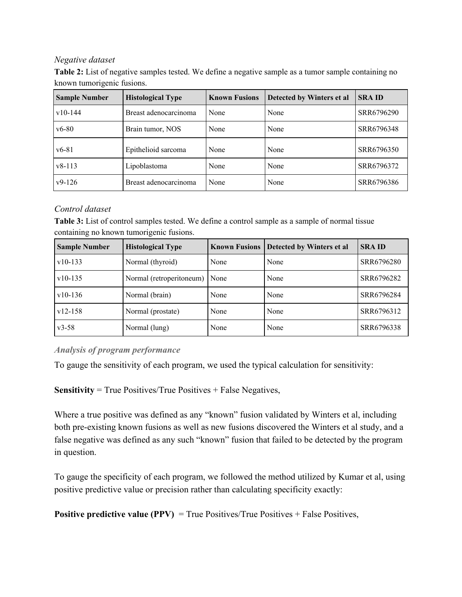#### *Negative dataset*

**Table 2:** List of negative samples tested. We define a negative sample as a tumor sample containing no known tumorigenic fusions.

| <b>Sample Number</b> | <b>Histological Type</b> | <b>Known Fusions</b> | Detected by Winters et al | <b>SRAID</b> |
|----------------------|--------------------------|----------------------|---------------------------|--------------|
| $v10-144$            | Breast adenocarcinoma    | None                 | None                      | SRR6796290   |
| $v6 - 80$            | Brain tumor, NOS         | None                 | None                      | SRR6796348   |
| $v6 - 81$            | Epithelioid sarcoma      | None                 | None                      | SRR6796350   |
| $v8-113$             | Lipoblastoma             | None                 | None                      | SRR6796372   |
| $v9-126$             | Breast adenocarcinoma    | None                 | None                      | SRR6796386   |

## *Control dataset*

**Table 3:** List of control samples tested. We define a control sample as a sample of normal tissue containing no known tumorigenic fusions.

| <b>Sample Number</b> | <b>Histological Type</b> | <b>Known Fusions</b> | Detected by Winters et al | <b>SRAID</b> |
|----------------------|--------------------------|----------------------|---------------------------|--------------|
| $v10-133$            | Normal (thyroid)         | None                 | None                      | SRR6796280   |
| $v10-135$            | Normal (retroperitoneum) | None                 | None                      | SRR6796282   |
| $v10-136$            | Normal (brain)           | None                 | None                      | SRR6796284   |
| $v12 - 158$          | Normal (prostate)        | None                 | None                      | SRR6796312   |
| $v3 - 58$            | Normal (lung)            | None                 | None                      | SRR6796338   |

#### *Analysis of program performance*

To gauge the sensitivity of each program, we used the typical calculation for sensitivity:

**Sensitivity** = True Positives/True Positives + False Negatives,

Where a true positive was defined as any "known" fusion validated by Winters et al, including both pre-existing known fusions as well as new fusions discovered the Winters et al study, and a false negative was defined as any such "known" fusion that failed to be detected by the program in question.

To gauge the specificity of each program, we followed the method utilized by Kumar et al, using positive predictive value or precision rather than calculating specificity exactly:

**Positive predictive value (PPV)** = True Positives/True Positives + False Positives,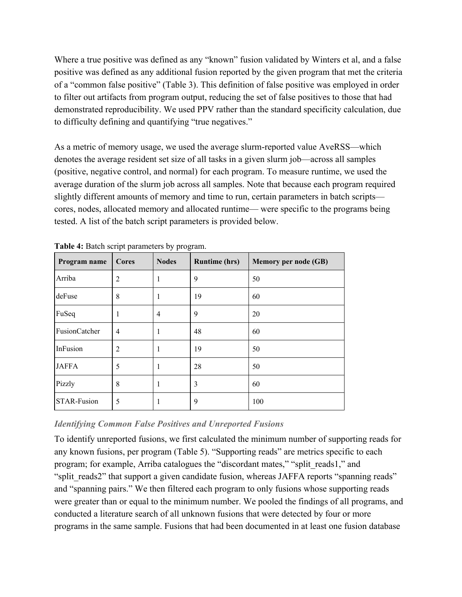Where a true positive was defined as any "known" fusion validated by Winters et al, and a false positive was defined as any additional fusion reported by the given program that met the criteria of a "common false positive" (Table 3). This definition of false positive was employed in order to filter out artifacts from program output, reducing the set of false positives to those that had demonstrated reproducibility. We used PPV rather than the standard specificity calculation, due to difficulty defining and quantifying "true negatives."

As a metric of memory usage, we used the average slurm-reported value AveRSS—which denotes the average resident set size of all tasks in a given slurm job—across all samples (positive, negative control, and normal) for each program. To measure runtime, we used the average duration of the slurm job across all samples. Note that because each program required slightly different amounts of memory and time to run, certain parameters in batch scripts cores, nodes, allocated memory and allocated runtime— were specific to the programs being tested. A list of the batch script parameters is provided below.

| Program name  | <b>Cores</b>   | <b>Nodes</b>   | <b>Runtime (hrs)</b> | Memory per node (GB) |
|---------------|----------------|----------------|----------------------|----------------------|
| Arriba        | $\overline{2}$ | 1              | 9                    | 50                   |
| deFuse        | 8              | 1              | 19                   | 60                   |
| FuSeq         | 1              | $\overline{4}$ | 9                    | 20                   |
| FusionCatcher | $\overline{4}$ | 1              | 48                   | 60                   |
| InFusion      | $\overline{2}$ | 1              | 19                   | 50                   |
| <b>JAFFA</b>  | 5              | ш              | 28                   | 50                   |
| Pizzly        | 8              | 1              | 3                    | 60                   |
| STAR-Fusion   | 5              | 1              | 9                    | 100                  |

**Table 4:** Batch script parameters by program.

## *Identifying Common False Positives and Unreported Fusions*

To identify unreported fusions, we first calculated the minimum number of supporting reads for any known fusions, per program (Table 5). "Supporting reads" are metrics specific to each program; for example, Arriba catalogues the "discordant mates," "split\_reads1," and "split reads2" that support a given candidate fusion, whereas JAFFA reports "spanning reads" and "spanning pairs." We then filtered each program to only fusions whose supporting reads were greater than or equal to the minimum number. We pooled the findings of all programs, and conducted a literature search of all unknown fusions that were detected by four or more programs in the same sample. Fusions that had been documented in at least one fusion database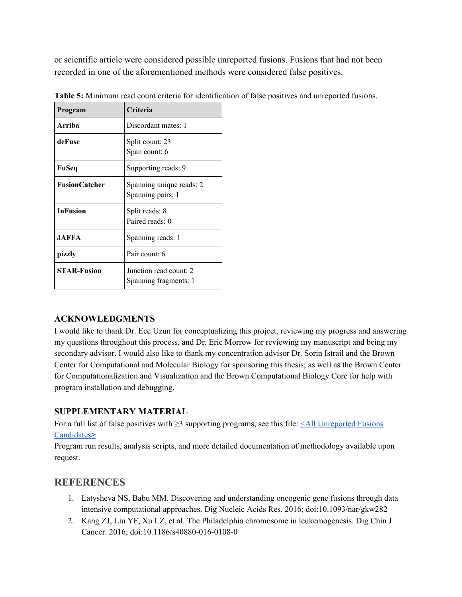or scientific article were considered possible unreported fusions. Fusions that had not been recorded in one of the aforementioned methods were considered false positives.

| Program              | Criteria                                        |
|----------------------|-------------------------------------------------|
| Arriba               | Discordant mates: 1                             |
| deFuse               | Split count: 23<br>Span count: 6                |
| FuSeq                | Supporting reads: 9                             |
| <b>FusionCatcher</b> | Spanning unique reads: 2<br>Spanning pairs: 1   |
| <b>InFusion</b>      | Split reads: 8<br>Paired reads: 0               |
| <b>JAFFA</b>         | Spanning reads: 1                               |
| pizzly               | Pair count: 6                                   |
| <b>STAR-Fusion</b>   | Junction read count: 2<br>Spanning fragments: 1 |

**Table 5:** Minimum read count criteria for identification of false positives and unreported fusions.

## **ACKNOWLEDGMENTS**

I would like to thank Dr. Ece Uzun for conceptualizing this project, reviewing my progress and answering my questions throughout this process, and Dr. Eric Morrow for reviewing my manuscript and being my secondary advisor. I would also like to thank my concentration advisor Dr. Sorin Istrail and the Brown Center for Computational and Molecular Biology for sponsoring this thesis; as well as the Brown Center for Computationalization and Visualization and the Brown Computational Biology Core for help with program installation and debugging.

#### **SUPPLEMENTARY MATERIAL**

For a full list of false positives with ≥3 supporting programs, see this file: <All [Unreported](https://docs.google.com/document/d/1DrI2ouuKioZdcpgy5g9Gtk38c2k_Mk01it141X-0jGU/edit) Fusions [Candidates](https://docs.google.com/document/d/1DrI2ouuKioZdcpgy5g9Gtk38c2k_Mk01it141X-0jGU/edit)**[>](https://docs.google.com/document/d/1DrI2ouuKioZdcpgy5g9Gtk38c2k_Mk01it141X-0jGU/edit)**

Program run results, analysis scripts, and more detailed documentation of methodology available upon request.

# **REFERENCES**

- 1. Latysheva NS, Babu MM. Discovering and understanding oncogenic gene fusions through data intensive computational approaches. Dig Nucleic Acids Res. 2016; doi:10.1093/nar/gkw282
- 2. Kang ZJ, Liu YF, Xu LZ, et al. The Philadelphia chromosome in leukemogenesis. Dig Chin J Cancer. 2016; doi:10.1186/s40880-016-0108-0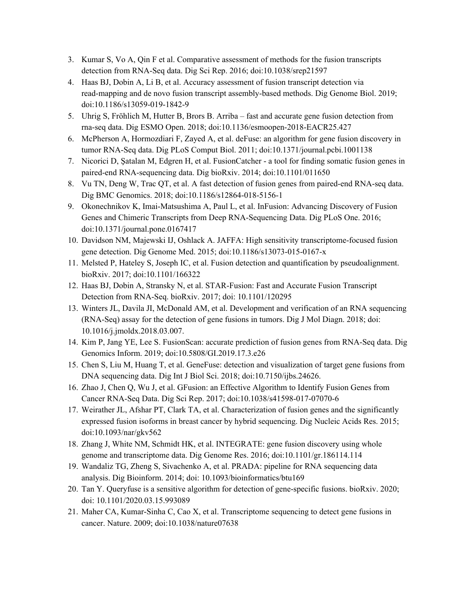- 3. Kumar S, Vo A, Qin F et al. Comparative assessment of methods for the fusion transcripts detection from RNA-Seq data. Dig Sci Rep. 2016; doi:10.1038/srep21597
- 4. Haas BJ, Dobin A, Li B, et al. Accuracy assessment of fusion transcript detection via read-mapping and de novo fusion transcript assembly-based methods. Dig Genome Biol. 2019; doi:10.1186/s13059-019-1842-9
- 5. Uhrig S, Fröhlich M, Hutter B, Brors B. Arriba fast and accurate gene fusion detection from rna-seq data. Dig ESMO Open. 2018; doi:10.1136/esmoopen-2018-EACR25.427
- 6. McPherson A, Hormozdiari F, Zayed A, et al. deFuse: an algorithm for gene fusion discovery in tumor RNA-Seq data. Dig PLoS Comput Biol. 2011; doi:10.1371/journal.pcbi.1001138
- 7. Nicorici D, Şatalan M, Edgren H, et al. FusionCatcher a tool for finding somatic fusion genes in paired-end RNA-sequencing data. Dig bioRxiv. 2014; doi:10.1101/011650
- 8. Vu TN, Deng W, Trac QT, et al. A fast detection of fusion genes from paired-end RNA-seq data. Dig BMC Genomics. 2018; doi:10.1186/s12864-018-5156-1
- 9. Okonechnikov K, Imai-Matsushima A, Paul L, et al. InFusion: Advancing Discovery of Fusion Genes and Chimeric Transcripts from Deep RNA-Sequencing Data. Dig PLoS One. 2016; doi:10.1371/journal.pone.0167417
- 10. Davidson NM, Majewski IJ, Oshlack A. JAFFA: High sensitivity transcriptome-focused fusion gene detection. Dig Genome Med. 2015; doi:10.1186/s13073-015-0167-x
- 11. Melsted P, Hateley S, Joseph IC, et al. Fusion detection and quantification by pseudoalignment. bioRxiv. 2017; doi:10.1101/166322
- 12. Haas BJ, Dobin A, Stransky N, et al. STAR-Fusion: Fast and Accurate Fusion Transcript Detection from RNA-Seq. bioRxiv. 2017; doi: 10.1101/120295
- 13. Winters JL, Davila JI, McDonald AM, et al. Development and verification of an RNA sequencing (RNA-Seq) assay for the detection of gene fusions in tumors. Dig J Mol Diagn. 2018; doi: 10.1016/j.jmoldx.2018.03.007.
- 14. Kim P, Jang YE, Lee S. FusionScan: accurate prediction of fusion genes from RNA-Seq data. Dig Genomics Inform. 2019; doi:10.5808/GI.2019.17.3.e26
- 15. Chen S, Liu M, Huang T, et al. GeneFuse: detection and visualization of target gene fusions from DNA sequencing data. Dig Int J Biol Sci. 2018; doi:10.7150/ijbs.24626.
- 16. Zhao J, Chen Q, Wu J, et al. GFusion: an Effective Algorithm to Identify Fusion Genes from Cancer RNA-Seq Data. Dig Sci Rep. 2017; doi:10.1038/s41598-017-07070-6
- 17. Weirather JL, Afshar PT, Clark TA, et al. Characterization of fusion genes and the significantly expressed fusion isoforms in breast cancer by hybrid sequencing. Dig Nucleic Acids Res. 2015; doi:10.1093/nar/gkv562
- 18. Zhang J, White NM, Schmidt HK, et al. INTEGRATE: gene fusion discovery using whole genome and transcriptome data. Dig Genome Res. 2016; doi:10.1101/gr.186114.114
- 19. Wandaliz TG, Zheng S, Sivachenko A, et al. PRADA: pipeline for RNA sequencing data analysis. Dig Bioinform. 2014; doi: 10.1093/bioinformatics/btu169
- 20. Tan Y. Queryfuse is a sensitive algorithm for detection of gene-specific fusions. bioRxiv. 2020; doi: 10.1101/2020.03.15.993089
- 21. Maher CA, Kumar-Sinha C, Cao X, et al. Transcriptome sequencing to detect gene fusions in cancer. Nature. 2009; doi:10.1038/nature07638